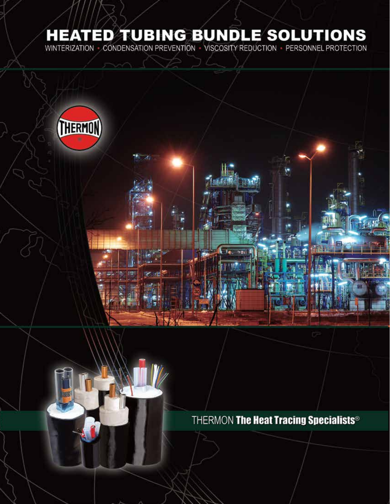# **HEATED TUBING BUNDLE SOLUTIONS**

CONDENSATION PREVENTION - VISCOSITY REDUCTION - PERSONNEL PROTECTION **WINTERIZATION** 



THERMON The Heat Tracing Specialists®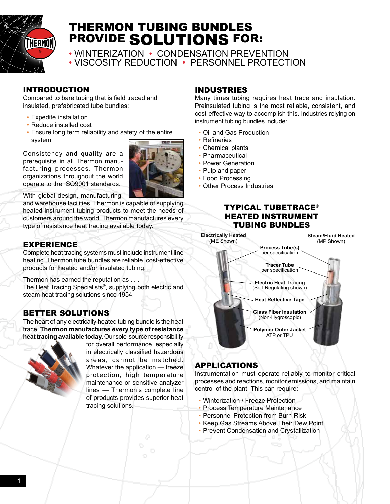

## THERMON TUBING BUNDLES PROVIDE SOLUTIONS FOR:

• WINTERIZATION • CONDENSATION PREVENTION • VISCOSITY REDUCTION • PERSONNEL PROTECTION

## INTRODUCTION

Compared to bare tubing that is field traced and insulated, prefabricated tube bundles:

- Expedite installation
- Reduce installed cost
- Ensure long term reliability and safety of the entire system

Consistency and quality are a prerequisite in all Thermon manufacturing processes. Thermon organizations throughout the world operate to the ISO9001 standards.



With global design, manufacturing,

and warehouse facilities, Thermon is capable of supplying heated instrument tubing products to meet the needs of customers around the world. Thermon manufactures every type of resistance heat tracing available today.

## EXPERIENCE

Complete heat tracing systems must include instrument line heating. Thermon tube bundles are reliable, cost-effective products for heated and/or insulated tubing.

Thermon has earned the reputation as . . .

The Heat Tracing Specialists®, supplying both electric and steam heat tracing solutions since 1954.

## BETTER SOLUTIONS

The heart of any electrically heated tubing bundle is the heat trace. **Thermon manufactures every type of resistance heat tracing available today.** Our sole-source responsibility



for overall performance, especially in electrically classified hazardous areas, cannot be matched. Whatever the application — freeze protection, high temperature maintenance or sensitive analyzer lines — Thermon's complete line of products provides superior heat tracing solutions.

### INDUSTRIES

Many times tubing requires heat trace and insulation. Preinsulated tubing is the most reliable, consistent, and cost-effective way to accomplish this. Industries relying on instrument tubing bundles include:

- Oil and Gas Production
- Refineries
- Chemical plants
- Pharmaceutical
- Power Generation
- Pulp and paper
- Food Processing
- Other Process Industries

### TYPICAL TUBETRACE® HEATED INSTRUMENT TUBING BUNDLES



## APPLICATIONS

Instrumentation must operate reliably to monitor critical processes and reactions, monitor emissions, and maintain control of the plant. This can require:

- Winterization / Freeze Protection
- Process Temperature Maintenance
- Personnel Protection from Burn Risk
- Keep Gas Streams Above Their Dew Point
- Prevent Condensation and Crystallization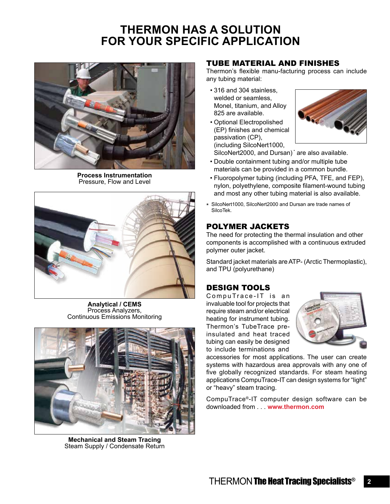## **THERMON HAS A SOLUTION FOR YOUR SPECIFIC APPLICATION**



**Process Instrumentation** Pressure, Flow and Level



**Analytical / CEMS** Process Analyzers, Continuous Emissions Monitoring



**Mechanical and Steam Tracing** Steam Supply / Condensate Return

### TUBE MATERIAL AND FINISHES

Thermon's flexible manu-facturing process can include any tubing material:

- 316 and 304 stainless, welded or seamless, Monel, titanium, and Alloy 825 are available.
- Optional Electropolished (EP) finishes and chemical passivation (CP), (including SilcoNert1000,



SilcoNert2000, and Dursan)<sup>\*</sup> are also available.

- Double containment tubing and/or multiple tube materials can be provided in a common bundle.
- Fluoropolymer tubing (including PFA, TFE, and FEP), nylon, polyethylene, composite filament-wound tubing and most any other tubing material is also available.
- \* SilcoNert1000, SilcoNert2000 and Dursan are trade names of SilcoTek.

## POLYMER JACKETS

The need for protecting the thermal insulation and other components is accomplished with a continuous extruded polymer outer jacket.

Standard jacket materials are ATP‑ (Arctic Thermoplastic), and TPU (polyurethane)

## DESIGN TOOLS

CompuTrace-IT is an invaluable tool for projects that require steam and/or electrical heating for instrument tubing. Thermon's TubeTrace preinsulated and heat traced tubing can easily be designed to include terminations and



accessories for most applications. The user can create systems with hazardous area approvals with any one of five globally recognized standards. For steam heating applications CompuTrace-IT can design systems for "light" or "heavy" steam tracing.

CompuTrace®-IT computer design software can be downloaded from . . . **www.thermon.com**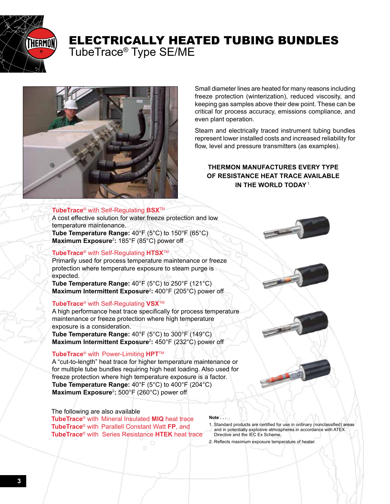

## ELECTRICALLY HEATED TUBING BUNDLES

TubeTrace® Type SE/ME



#### **TubeTrace**® with Self-Regulating **BSX**TM

A cost effective solution for water freeze protection and low temperature maintenance. **Tube Temperature Range:** 40°F (5°C) to 150°F (65°C) **Maximum Exposure**<sup>2</sup> **:** 185°F (85°C) power off

#### **TubeTrace**® with Self-Regulating **HTSX**TM

Primarily used for process temperature maintenance or freeze protection where temperature exposure to steam purge is expected.

**Tube Temperature Range:** 40°F (5°C) to 250°F (121°C) **Maximum Intermittent Exposure**<sup>2</sup> **:** 400°F (205°C) power off

#### **TubeTrace**® with Self-Regulating **VSX**TM

A high performance heat trace specifically for process temperature maintenance or freeze protection where high temperature exposure is a consideration.

**Tube Temperature Range:** 40°F (5°C) to 300°F (149°C) **Maximum Intermittent Exposure**<sup>2</sup> **:** 450°F (232°C) power off

#### **TubeTrace**® with Power-Limiting **HPT**TM

A "cut-to-length" heat trace for higher temperature maintenance or for multiple tube bundles requiring high heat loading. Also used for freeze protection where high temperature exposure is a factor. **Tube Temperature Range:** 40°F (5°C) to 400°F (204°C) **Maximum Exposure**<sup>2</sup> **:** 500°F (260°C) power off

#### The following are also available

**TubeTrace**® with Mineral Insulated **MIQ** heat trace **TubeTrace**® with Parallell Constant Watt **FP**, and **TubeTrace**® with Series Resistance **HTEK** heat trace

**Note . . .**

- 1. Standard products are certified for use in ordinary (nonclassified) areas and in potentially explosive atmospheres in accordance with ATEX Directive and the IEC Ex Scheme.
- 2. Reflects maximum exposure temperature of heater.



Steam and electrically traced instrument tubing bundles represent lower installed costs and increased reliability for flow, level and pressure transmitters (as examples).

#### **THERMON MANUFACTURES EVERY TYPE OF RESISTANCE HEAT TRACE AVAILABLE IN THE WORLD TODAY**<sup>1</sup> .

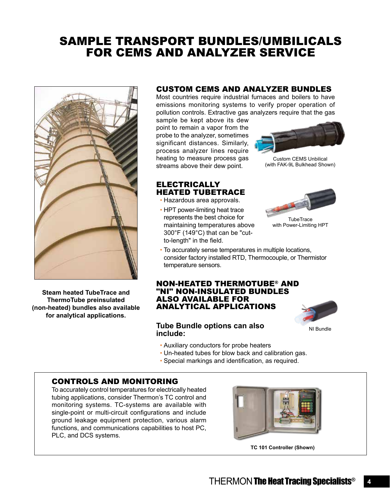## SAMPLE TRANSPORT BUNDLES/UMBILICALS FOR CEMS AND ANALYZER SERVICE



**Steam heated TubeTrace and ThermoTube preinsulated (non-heated) bundles also available for analytical applications.**

#### CUSTOM CEMS AND ANALYZER BUNDLES

Most countries require industrial furnaces and boilers to have emissions monitoring systems to verify proper operation of pollution controls. Extractive gas analyzers require that the gas

sample be kept above its dew point to remain a vapor from the probe to the analyzer, sometimes significant distances. Similarly, process analyzer lines require heating to measure process gas streams above their dew point.



Custom CEMS Unbilical (with FAK-9L Bulkhead Shown)

### ELECTRICALLY HEATED TUBETRACE

- Hazardous area approvals.
- HPT power-limiting heat trace represents the best choice for maintaining temperatures above 300°F (149°C) that can be "cutto-length" in the field.



with Power-Limiting HPT

• To accurately sense temperatures in multiple locations, consider factory installed RTD, Thermocouple, or Thermistor temperature sensors.

#### NON-HEATED THERMOTUBE® AND "NI" NON-INSULATED BUNDLES ALSO AVAILABLE FOR ANALYTICAL APPLICATIONS

#### **Tube Bundle options can also include:**



- Auxiliary conductors for probe heaters
- Un-heated tubes for blow back and calibration gas.
- Special markings and identification, as required.

### CONTROLS AND MONITORING

To accurately control temperatures for electrically heated tubing applications, consider Thermon's TC control and monitoring systems. TC-systems are available with single-point or multi-circuit configurations and include ground leakage equipment protection, various alarm functions, and communications capabilities to host PC, PLC, and DCS systems.



**TC 101 Controller (Shown)**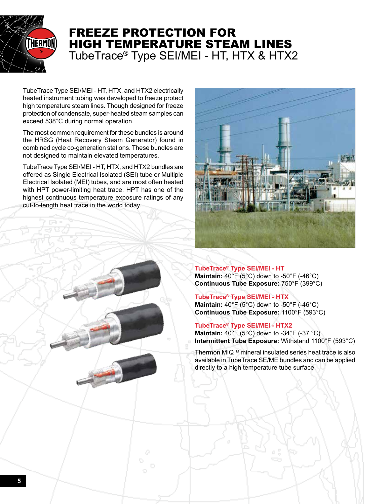

## FREEZE PROTECTION FOR HIGH TEMPERATURE STEAM LINES TubeTrace® Type SEI/MEI - HT, HTX & HTX2

TubeTrace Type SEI/MEI - HT, HTX, and HTX2 electrically heated instrument tubing was developed to freeze protect high temperature steam lines. Though designed for freeze protection of condensate, super-heated steam samples can exceed 538°C during normal operation.

The most common requirement for these bundles is around the HRSG (Heat Recovery Steam Generator) found in combined cycle co-generation stations. These bundles are not designed to maintain elevated temperatures.

TubeTrace Type SEI/MEI - HT, HTX, and HTX2 bundles are offered as Single Electrical Isolated (SEI) tube or Multiple Electrical Isolated (MEI) tubes, and are most often heated with HPT power-limiting heat trace. HPT has one of the highest continuous temperature exposure ratings of any cut-to-length heat trace in the world today.



**TubeTrace® Type SEI/MEI - HT Maintain:** 40°F (5°C) down to -50°F (-46°C) **Continuous Tube Exposure:** 750°F (399°C)

**TubeTrace® Type SEI/MEI - HTX Maintain:** 40°F (5°C) down to -50°F (-46°C) **Continuous Tube Exposure:** 1100°F (593°C)

**TubeTrace® Type SEI/MEI - HTX2 Maintain:** 40°F (5°C) down to -34°F (-37 °C) **Intermittent Tube Exposure:** Withstand 1100°F (593°C)

Thermon MIQTM mineral insulated series heat trace is also available in TubeTrace SE/ME bundles and can be applied directly to a high temperature tube surface.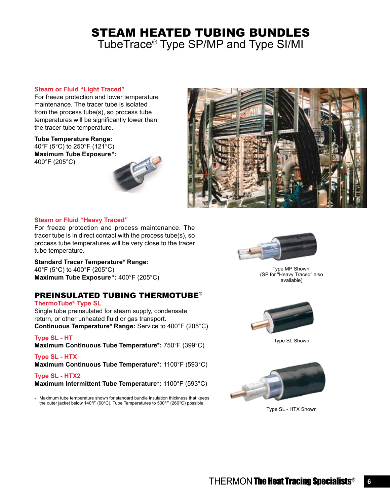## STEAM HEATED TUBING BUNDLES

TubeTrace® Type SP/MP and Type SI/MI

#### **Steam or Fluid "Light Traced"**

For freeze protection and lower temperature maintenance. The tracer tube is isolated from the process tube(s), so process tube temperatures will be significantly lower than the tracer tube temperature.

**Tube Temperature Range:** 40°F (5°C) to 250°F (121°C) **Maximum Tube Exposure \*:**  400°F (205°C)





#### **Steam or Fluid "Heavy Traced"**

For freeze protection and process maintenance. The tracer tube is in direct contact with the process tube(s), so process tube temperatures will be very close to the tracer tube temperature.

**Standard Tracer Temperature\* Range:**

40°F (5°C) to 400°F (205°C) **Maximum Tube Exposure \*:** 400°F (205°C)

### PREINSULATED TUBING THERMOTUBE®

**ThermoTube® Type SL** Single tube preinsulated for steam supply, condensate return, or other unheated fluid or gas transport. **Continuous Temperature\* Range:** Service to 400°F (205°C)

**Type SL - HT Maximum Continuous Tube Temperature\*:** 750°F (399°C)

**Type SL - HTX Maximum Continuous Tube Temperature\*:** 1100°F (593°C)

**Type SL - HTX2 Maximum Intermittent Tube Temperature\*:** 1100°F (593°C)

\* Maximum tube temperature shown for standard bundle insulation thickness that keeps the outer jacket below 140°F (60°C). Tube Temperatures to 500°F (260°C) possible.



Type MP Shown, (SP for "Heavy Traced" also available)



Type SL Shown



Type SL - HTX Shown